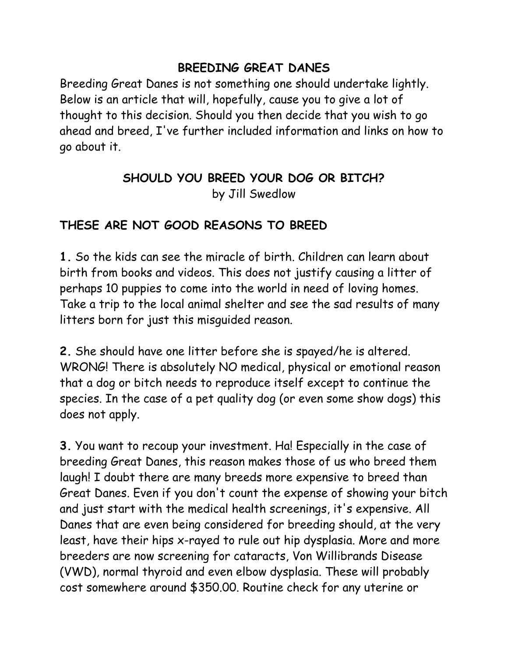#### **BREEDING GREAT DANES**

Breeding Great Danes is not something one should undertake lightly. Below is an article that will, hopefully, cause you to give a lot of thought to this decision. Should you then decide that you wish to go ahead and breed, I've further included information and links on how to go about it.

# **SHOULD YOU BREED YOUR DOG OR BITCH?** by Jill Swedlow

#### **THESE ARE NOT GOOD REASONS TO BREED**

**1.** So the kids can see the miracle of birth. Children can learn about birth from books and videos. This does not justify causing a litter of perhaps 10 puppies to come into the world in need of loving homes. Take a trip to the local animal shelter and see the sad results of many litters born for just this misguided reason.

**2.** She should have one litter before she is spayed/he is altered. WRONG! There is absolutely NO medical, physical or emotional reason that a dog or bitch needs to reproduce itself except to continue the species. In the case of a pet quality dog (or even some show dogs) this does not apply.

**3.** You want to recoup your investment. Ha! Especially in the case of breeding Great Danes, this reason makes those of us who breed them laugh! I doubt there are many breeds more expensive to breed than Great Danes. Even if you don't count the expense of showing your bitch and just start with the medical health screenings, it's expensive. All Danes that are even being considered for breeding should, at the very least, have their hips x-rayed to rule out hip dysplasia. More and more breeders are now screening for cataracts, Von Willibrands Disease (VWD), normal thyroid and even elbow dysplasia. These will probably cost somewhere around \$350.00. Routine check for any uterine or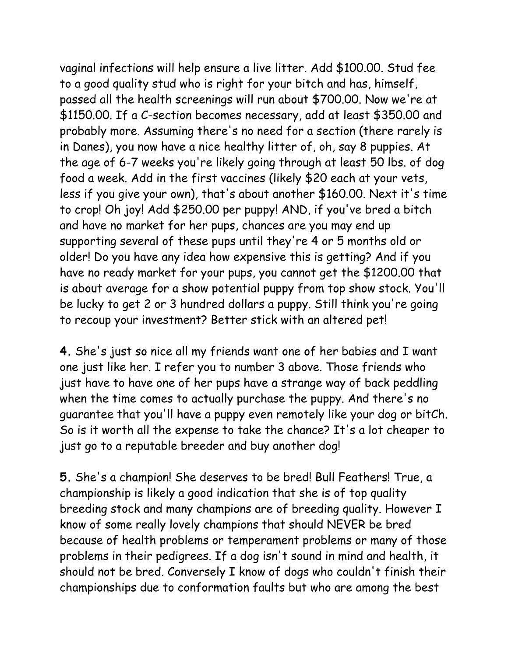vaginal infections will help ensure a live litter. Add \$100.00. Stud fee to a good quality stud who is right for your bitch and has, himself, passed all the health screenings will run about \$700.00. Now we're at \$1150.00. If a C-section becomes necessary, add at least \$350.00 and probably more. Assuming there's no need for a section (there rarely is in Danes), you now have a nice healthy litter of, oh, say 8 puppies. At the age of 6-7 weeks you're likely going through at least 50 lbs. of dog food a week. Add in the first vaccines (likely \$20 each at your vets, less if you give your own), that's about another \$160.00. Next it's time to crop! Oh joy! Add \$250.00 per puppy! AND, if you've bred a bitch and have no market for her pups, chances are you may end up supporting several of these pups until they're 4 or 5 months old or older! Do you have any idea how expensive this is getting? And if you have no ready market for your pups, you cannot get the \$1200.00 that is about average for a show potential puppy from top show stock. You'll be lucky to get 2 or 3 hundred dollars a puppy. Still think you're going to recoup your investment? Better stick with an altered pet!

**4.** She's just so nice all my friends want one of her babies and I want one just like her. I refer you to number 3 above. Those friends who just have to have one of her pups have a strange way of back peddling when the time comes to actually purchase the puppy. And there's no guarantee that you'll have a puppy even remotely like your dog or bitCh. So is it worth all the expense to take the chance? It's a lot cheaper to just go to a reputable breeder and buy another dog!

**5.** She's a champion! She deserves to be bred! Bull Feathers! True, a championship is likely a good indication that she is of top quality breeding stock and many champions are of breeding quality. However I know of some really lovely champions that should NEVER be bred because of health problems or temperament problems or many of those problems in their pedigrees. If a dog isn't sound in mind and health, it should not be bred. Conversely I know of dogs who couldn't finish their championships due to conformation faults but who are among the best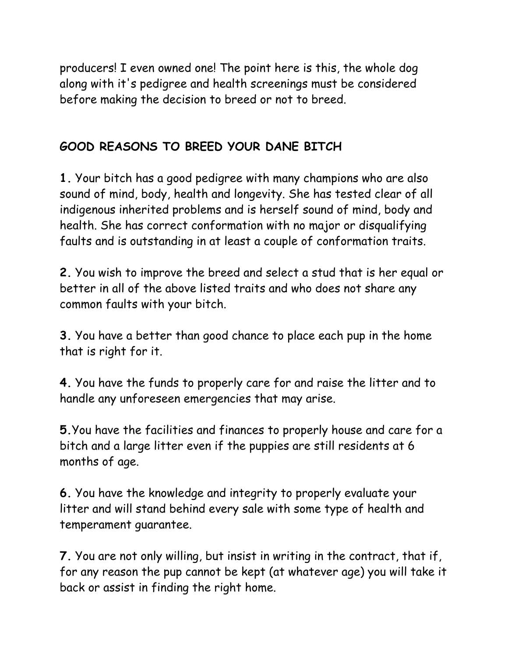producers! I even owned one! The point here is this, the whole dog along with it's pedigree and health screenings must be considered before making the decision to breed or not to breed.

# **GOOD REASONS TO BREED YOUR DANE BITCH**

**1.** Your bitch has a good pedigree with many champions who are also sound of mind, body, health and longevity. She has tested clear of all indigenous inherited problems and is herself sound of mind, body and health. She has correct conformation with no major or disqualifying faults and is outstanding in at least a couple of conformation traits.

**2.** You wish to improve the breed and select a stud that is her equal or better in all of the above listed traits and who does not share any common faults with your bitch.

**3.** You have a better than good chance to place each pup in the home that is right for it.

**4.** You have the funds to properly care for and raise the litter and to handle any unforeseen emergencies that may arise.

**5.**You have the facilities and finances to properly house and care for a bitch and a large litter even if the puppies are still residents at 6 months of age.

**6.** You have the knowledge and integrity to properly evaluate your litter and will stand behind every sale with some type of health and temperament guarantee.

**7.** You are not only willing, but insist in writing in the contract, that if, for any reason the pup cannot be kept (at whatever age) you will take it back or assist in finding the right home.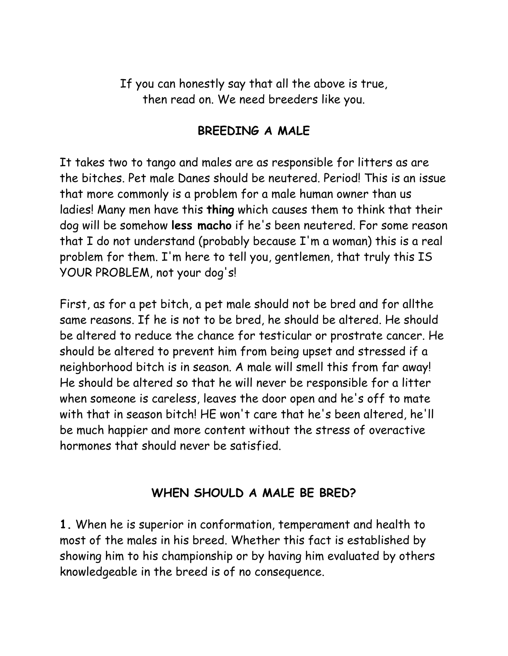If you can honestly say that all the above is true, then read on. We need breeders like you.

### **BREEDING A MALE**

It takes two to tango and males are as responsible for litters as are the bitches. Pet male Danes should be neutered. Period! This is an issue that more commonly is a problem for a male human owner than us ladies! Many men have this **thing** which causes them to think that their dog will be somehow **less macho** if he's been neutered. For some reason that I do not understand (probably because I'm a woman) this is a real problem for them. I'm here to tell you, gentlemen, that truly this IS YOUR PROBLEM, not your dog's!

First, as for a pet bitch, a pet male should not be bred and for allthe same reasons. If he is not to be bred, he should be altered. He should be altered to reduce the chance for testicular or prostrate cancer. He should be altered to prevent him from being upset and stressed if a neighborhood bitch is in season. A male will smell this from far away! He should be altered so that he will never be responsible for a litter when someone is careless, leaves the door open and he's off to mate with that in season bitch! HE won't care that he's been altered, he'll be much happier and more content without the stress of overactive hormones that should never be satisfied.

### **WHEN SHOULD A MALE BE BRED?**

**1.** When he is superior in conformation, temperament and health to most of the males in his breed. Whether this fact is established by showing him to his championship or by having him evaluated by others knowledgeable in the breed is of no consequence.